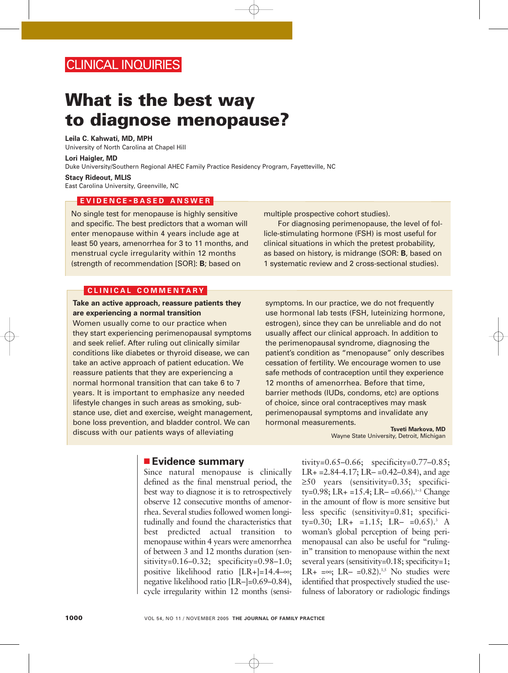## CLINICAL INQUIRIES

# **What is the best way to diagnose menopause?**

**Leila C. Kahwati, MD, MPH** University of North Carolina at Chapel Hill

**Lori Haigler, MD**

Duke University/Southern Regional AHEC Family Practice Residency Program, Fayetteville, NC

**Stacy Rideout, MLIS**

East Carolina University, Greenville, NC

### **EVIDENCE - BASED ANSWER**

No single test for menopause is highly sensitive and specific. The best predictors that a woman will enter menopause within 4 years include age at least 50 years, amenorrhea for 3 to 11 months, and menstrual cycle irregularity within 12 months (strength of recommendation [SOR]: **B**; based on

#### **CLINICAL COMMENTARY**

#### **Take an active approach, reassure patients they are experiencing a normal transition**

Women usually come to our practice when they start experiencing perimenopausal symptoms and seek relief. After ruling out clinically similar conditions like diabetes or thyroid disease, we can take an active approach of patient education. We reassure patients that they are experiencing a normal hormonal transition that can take 6 to 7 years. It is important to emphasize any needed lifestyle changes in such areas as smoking, substance use, diet and exercise, weight management, bone loss prevention, and bladder control. We can discuss with our patients ways of alleviating

multiple prospective cohort studies).

For diagnosing perimenopause, the level of follicle-stimulating hormone (FSH) is most useful for clinical situations in which the pretest probability, as based on history, is midrange (SOR: **B**, based on 1 systematic review and 2 cross-sectional studies).

symptoms. In our practice, we do not frequently use hormonal lab tests (FSH, luteinizing hormone, estrogen), since they can be unreliable and do not usually affect our clinical approach. In addition to the perimenopausal syndrome, diagnosing the patient's condition as "menopause" only describes cessation of fertility. We encourage women to use safe methods of contraception until they experience 12 months of amenorrhea. Before that time, barrier methods (IUDs, condoms, etc) are options of choice, since oral contraceptives may mask perimenopausal symptoms and invalidate any hormonal measurements. **Tsveti Markova, MD**

Wayne State University, Detroit, Michigan

### ■ **Evidence summary**

Since natural menopause is clinically defined as the final menstrual period, the best way to diagnose it is to retrospectively observe 12 consecutive months of amenorrhea. Several studies followed women longitudinally and found the characteristics that best predicted actual transition to menopause within 4 years were amenorrhea of between 3 and 12 months duration (sensitivity=0.16–0.32; specificity=0.98–1.0; positive likelihood ratio [LR+]=14.4–∞; negative likelihood ratio [LR–]=0.69–0.84), cycle irregularity within 12 months (sensitivity=0.65–0.66; specificity=0.77–0.85; LR+ = 2.84-4.17; LR – = 0.42 – 0.84), and age ≥50 years (sensitivity=0.35; specificity=0.98; LR+ =15.4; LR- =0.66).<sup>1-3</sup> Change in the amount of flow is more sensitive but less specific (sensitivity=0.81; specificity=0.30; LR+ =1.15; LR- =0.65).<sup>3</sup> A woman's global perception of being perimenopausal can also be useful for "rulingin" transition to menopause within the next several years (sensitivity=0.18; specificity=1; LR+ =∞; LR– =0.82).<sup>1,5</sup> No studies were identified that prospectively studied the usefulness of laboratory or radiologic findings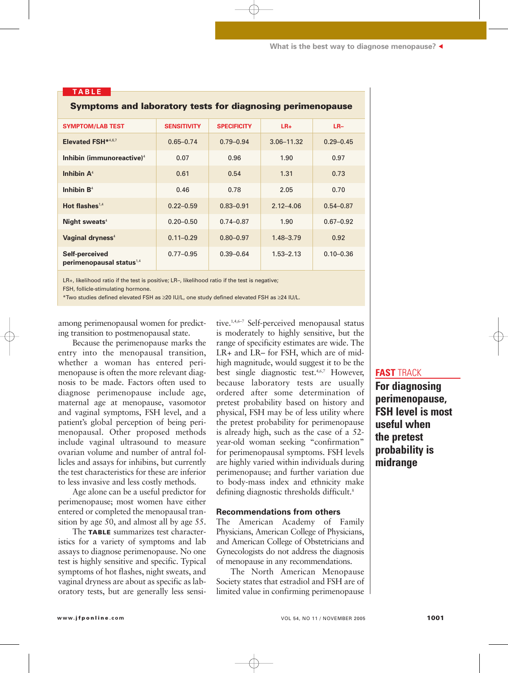**What is the best way to diagnose menopause?** ▲

| <b>Symptoms and laboratory tests for diagnosing perimenopause</b> |                    |                    |                |               |  |  |
|-------------------------------------------------------------------|--------------------|--------------------|----------------|---------------|--|--|
| <b>SYMPTOM/LAB TEST</b>                                           | <b>SENSITIVITY</b> | <b>SPECIFICITY</b> | $LR+$          | $LR-$         |  |  |
| Elevated FSH*4,6,7                                                | $0.65 - 0.74$      | $0.79 - 0.94$      | $3.06 - 11.32$ | $0.29 - 0.45$ |  |  |
| Inhibin (immunoreactive) <sup>4</sup>                             | 0.07               | 0.96               | 1.90           | 0.97          |  |  |
| Inhibin $A4$                                                      | 0.61               | 0.54               | 1.31           | 0.73          |  |  |
| Inhibin $B4$                                                      | 0.46               | 0.78               | 2.05           | 0.70          |  |  |
| Hot flashes <sup>1,4</sup>                                        | $0.22 - 0.59$      | $0.83 - 0.91$      | $2.12 - 4.06$  | $0.54 - 0.87$ |  |  |
| Night sweats <sup>4</sup>                                         | $0.20 - 0.50$      | $0.74 - 0.87$      | 1.90           | $0.67 - 0.92$ |  |  |
| Vaginal dryness <sup>4</sup>                                      | $0.11 - 0.29$      | $0.80 - 0.97$      | $1.48 - 3.79$  | 0.92          |  |  |
| Self-perceived<br>perimenopausal status <sup>1,4</sup>            | $0.77 - 0.95$      | $0.39 - 0.64$      | $1.53 - 2.13$  | $0.10 - 0.36$ |  |  |

LR+, likelihood ratio if the test is positive; LR–, likelihood ratio if the test is negative;

FSH, follicle-stimulating hormone.

**TABLE**

\*Two studies defined elevated FSH as ≥20 IU/L, one study defined elevated FSH as ≥24 IU/L.

among perimenopausal women for predicting transition to postmenopausal state.

Because the perimenopause marks the entry into the menopausal transition, whether a woman has entered perimenopause is often the more relevant diagnosis to be made. Factors often used to diagnose perimenopause include age, maternal age at menopause, vasomotor and vaginal symptoms, FSH level, and a patient's global perception of being perimenopausal. Other proposed methods include vaginal ultrasound to measure ovarian volume and number of antral follicles and assays for inhibins, but currently the test characteristics for these are inferior to less invasive and less costly methods.

Age alone can be a useful predictor for perimenopause; most women have either entered or completed the menopausal transition by age 50, and almost all by age 55.

The **TABLE** summarizes test characteristics for a variety of symptoms and lab assays to diagnose perimenopause. No one test is highly sensitive and specific. Typical symptoms of hot flashes, night sweats, and vaginal dryness are about as specific as laboratory tests, but are generally less sensi-

tive.1,4,6–7 Self-perceived menopausal status is moderately to highly sensitive, but the range of specificity estimates are wide. The LR+ and LR– for FSH, which are of midhigh magnitude, would suggest it to be the best single diagnostic test.<sup>4,6,7</sup> However, because laboratory tests are usually ordered after some determination of pretest probability based on history and physical, FSH may be of less utility where the pretest probability for perimenopause is already high, such as the case of a 52 year-old woman seeking "confirmation" for perimenopausal symptoms. FSH levels are highly varied within individuals during perimenopause; and further variation due to body-mass index and ethnicity make defining diagnostic thresholds difficult.<sup>8</sup>

#### **Recommendations from others**

The American Academy of Family Physicians, American College of Physicians, and American College of Obstetricians and Gynecologists do not address the diagnosis of menopause in any recommendations.

The North American Menopause Society states that estradiol and FSH are of limited value in confirming perimenopause

#### **FAST** TRACK

**For diagnosing perimenopause, FSH level is most useful when the pretest probability is midrange**